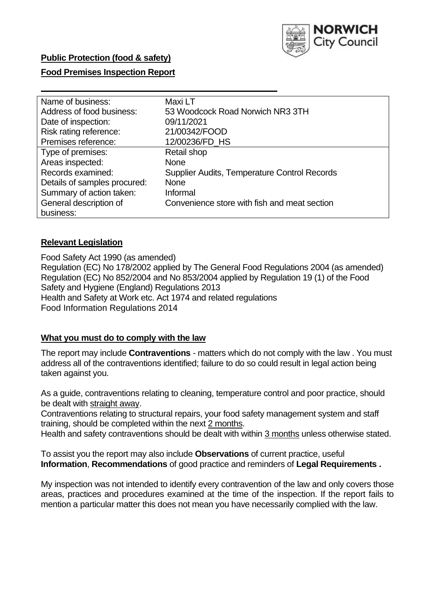

### **Public Protection (food & safety)**

### **Food Premises Inspection Report**

| Name of business:            | Maxi LT                                      |
|------------------------------|----------------------------------------------|
| Address of food business:    | 53 Woodcock Road Norwich NR3 3TH             |
| Date of inspection:          | 09/11/2021                                   |
| Risk rating reference:       | 21/00342/FOOD                                |
| Premises reference:          | 12/00236/FD_HS                               |
| Type of premises:            | Retail shop                                  |
| Areas inspected:             | <b>None</b>                                  |
| Records examined:            | Supplier Audits, Temperature Control Records |
| Details of samples procured: | <b>None</b>                                  |
| Summary of action taken:     | Informal                                     |
| General description of       | Convenience store with fish and meat section |
| business:                    |                                              |

#### **Relevant Legislation**

 Food Safety Act 1990 (as amended) Regulation (EC) No 178/2002 applied by The General Food Regulations 2004 (as amended) Regulation (EC) No 852/2004 and No 853/2004 applied by Regulation 19 (1) of the Food Safety and Hygiene (England) Regulations 2013 Health and Safety at Work etc. Act 1974 and related regulations Food Information Regulations 2014

#### **What you must do to comply with the law**

 The report may include **Contraventions** - matters which do not comply with the law . You must address all of the contraventions identified; failure to do so could result in legal action being taken against you.

 As a guide, contraventions relating to cleaning, temperature control and poor practice, should be dealt with straight away.

 Contraventions relating to structural repairs, your food safety management system and staff training, should be completed within the next 2 months.

Health and safety contraventions should be dealt with within 3 months unless otherwise stated.

 To assist you the report may also include **Observations** of current practice, useful **Information**, **Recommendations** of good practice and reminders of **Legal Requirements .** 

 My inspection was not intended to identify every contravention of the law and only covers those areas, practices and procedures examined at the time of the inspection. If the report fails to mention a particular matter this does not mean you have necessarily complied with the law.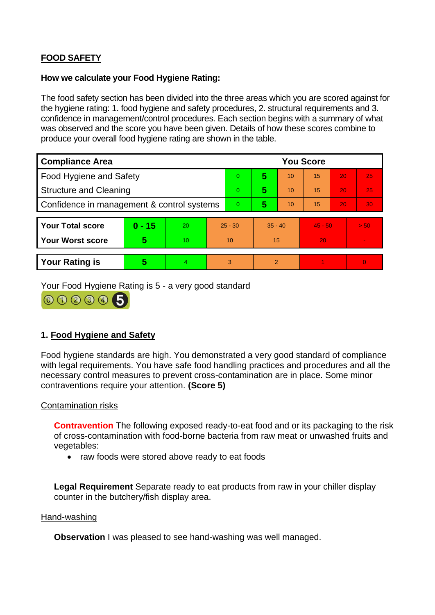# **FOOD SAFETY**

#### **How we calculate your Food Hygiene Rating:**

 The food safety section has been divided into the three areas which you are scored against for the hygiene rating: 1. food hygiene and safety procedures, 2. structural requirements and 3. confidence in management/control procedures. Each section begins with a summary of what was observed and the score you have been given. Details of how these scores combine to produce your overall food hygiene rating are shown in the table.

| <b>Compliance Area</b>                     |          |    |           | <b>You Score</b> |                |    |           |    |                |  |  |
|--------------------------------------------|----------|----|-----------|------------------|----------------|----|-----------|----|----------------|--|--|
| <b>Food Hygiene and Safety</b>             |          |    |           | $\overline{0}$   | 5              | 10 | 15        | 20 | 25             |  |  |
| <b>Structure and Cleaning</b>              |          |    | $\Omega$  | 5                | 10             | 15 | 20        | 25 |                |  |  |
| Confidence in management & control systems |          |    | $\Omega$  | 5                | 10             | 15 | 20        | 30 |                |  |  |
|                                            |          |    |           |                  |                |    |           |    |                |  |  |
| <b>Your Total score</b>                    | $0 - 15$ | 20 | $25 - 30$ |                  | $35 - 40$      |    | $45 - 50$ |    | > 50           |  |  |
| <b>Your Worst score</b>                    | 5        | 10 | 10        |                  | 15             |    | 20        |    |                |  |  |
|                                            |          |    |           |                  |                |    |           |    |                |  |  |
| <b>Your Rating is</b>                      | 5        | 4. | 3         |                  | $\overline{2}$ |    |           |    | $\overline{0}$ |  |  |

Your Food Hygiene Rating is 5 - a very good standard



## **1. Food Hygiene and Safety**

 with legal requirements. You have safe food handling practices and procedures and all the Food hygiene standards are high. You demonstrated a very good standard of compliance necessary control measures to prevent cross-contamination are in place. Some minor contraventions require your attention. **(Score 5)** 

#### Contamination risks

**Contravention** The following exposed ready-to-eat food and or its packaging to the risk of cross-contamination with food-borne bacteria from raw meat or unwashed fruits and vegetables:

• raw foods were stored above ready to eat foods

**Legal Requirement** Separate ready to eat products from raw in your chiller display counter in the butchery/fish display area.

#### Hand-washing

**Observation** I was pleased to see hand-washing was well managed.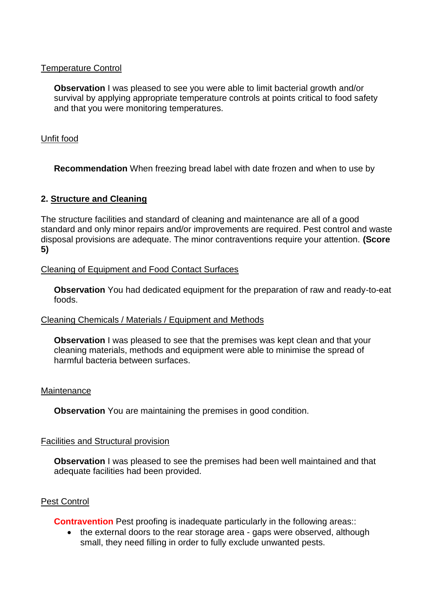### Temperature Control

**Observation** I was pleased to see you were able to limit bacterial growth and/or survival by applying appropriate temperature controls at points critical to food safety and that you were monitoring temperatures.

### Unfit food

**Recommendation** When freezing bread label with date frozen and when to use by

### **2. Structure and Cleaning**

 The structure facilities and standard of cleaning and maintenance are all of a good standard and only minor repairs and/or improvements are required. Pest control and waste disposal provisions are adequate. The minor contraventions require your attention. **(Score 5)** 

#### Cleaning of Equipment and Food Contact Surfaces

 **Observation** You had dedicated equipment for the preparation of raw and ready-to-eat foods.

#### Cleaning Chemicals / Materials / Equipment and Methods

**Observation** I was pleased to see that the premises was kept clean and that your cleaning materials, methods and equipment were able to minimise the spread of harmful bacteria between surfaces.

#### **Maintenance**

**Observation** You are maintaining the premises in good condition.

#### Facilities and Structural provision

 **Observation** I was pleased to see the premises had been well maintained and that adequate facilities had been provided.

#### Pest Control

**Contravention** Pest proofing is inadequate particularly in the following areas::

• the external doors to the rear storage area - gaps were observed, although small, they need filling in order to fully exclude unwanted pests.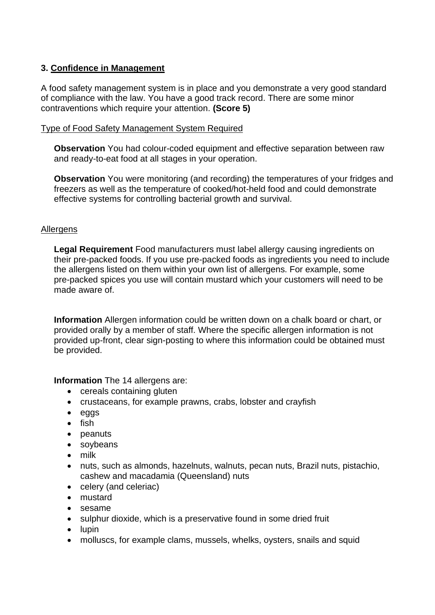## **3. Confidence in Management**

A food safety management system is in place and you demonstrate a very good standard of compliance with the law. You have a good track record. There are some minor contraventions which require your attention. **(Score 5)** 

### Type of Food Safety Management System Required

**Observation** You had colour-coded equipment and effective separation between raw and ready-to-eat food at all stages in your operation.

**Observation** You were monitoring (and recording) the temperatures of your fridges and freezers as well as the temperature of cooked/hot-held food and could demonstrate effective systems for controlling bacterial growth and survival.

### **Allergens**

 the allergens listed on them within your own list of allergens. For example, some **Legal Requirement** Food manufacturers must label allergy causing ingredients on their pre-packed foods. If you use pre-packed foods as ingredients you need to include pre-packed spices you use will contain mustard which your customers will need to be made aware of.

 **Information** Allergen information could be written down on a chalk board or chart, or provided orally by a member of staff. Where the specific allergen information is not provided up-front, clear sign-posting to where this information could be obtained must be provided.

**Information** The 14 allergens are:

- cereals containing gluten
- crustaceans, for example prawns, crabs, lobster and crayfish
- eggs
- fish
- peanuts
- soybeans
- milk
- nuts, such as almonds, hazelnuts, walnuts, pecan nuts, Brazil nuts, pistachio, cashew and macadamia (Queensland) nuts
- celery (and celeriac)
- mustard
- sesame
- sulphur dioxide, which is a preservative found in some dried fruit
- lupin
- molluscs, for example clams, mussels, whelks, oysters, snails and squid